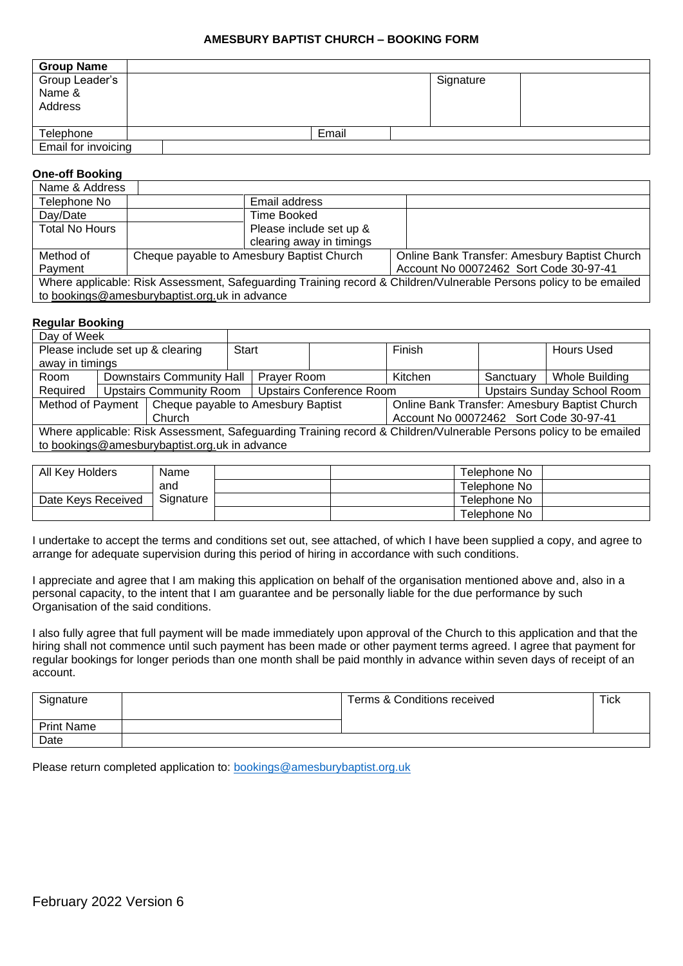#### **AMESBURY BAPTIST CHURCH – BOOKING FORM**

| <b>Group Name</b>                   |  |       |           |  |  |
|-------------------------------------|--|-------|-----------|--|--|
| Group Leader's<br>Name &<br>Address |  |       | Signature |  |  |
| Telephone                           |  | Email |           |  |  |
| Email for invoicing                 |  |       |           |  |  |

### **One-off Booking**

| Name & Address                                                                                                     |                                           |                          |                                        |                                               |  |
|--------------------------------------------------------------------------------------------------------------------|-------------------------------------------|--------------------------|----------------------------------------|-----------------------------------------------|--|
| Telephone No                                                                                                       |                                           | Email address            |                                        |                                               |  |
| Day/Date                                                                                                           |                                           | Time Booked              |                                        |                                               |  |
| <b>Total No Hours</b>                                                                                              |                                           | Please include set up &  |                                        |                                               |  |
|                                                                                                                    |                                           | clearing away in timings |                                        |                                               |  |
| Method of                                                                                                          | Cheque payable to Amesbury Baptist Church |                          |                                        | Online Bank Transfer: Amesbury Baptist Church |  |
| Payment                                                                                                            |                                           |                          | Account No 00072462 Sort Code 30-97-41 |                                               |  |
| Where applicable: Risk Assessment, Safeguarding Training record & Children/Vulnerable Persons policy to be emailed |                                           |                          |                                        |                                               |  |
| to bookings@amesburybaptist.org.uk in advance                                                                      |                                           |                          |                                        |                                               |  |

#### **Regular Booking**

| Day of Week                                                                                                        |                                                                   |                                                 |  |                                               |                                    |         |                   |                       |
|--------------------------------------------------------------------------------------------------------------------|-------------------------------------------------------------------|-------------------------------------------------|--|-----------------------------------------------|------------------------------------|---------|-------------------|-----------------------|
| Please include set up & clearing                                                                                   |                                                                   | Start                                           |  |                                               | Finish                             |         | <b>Hours Used</b> |                       |
| away in timings                                                                                                    |                                                                   |                                                 |  |                                               |                                    |         |                   |                       |
| Room                                                                                                               |                                                                   | <b>Downstairs Community Hall</b><br>Prayer Room |  |                                               |                                    | Kitchen | Sanctuary         | <b>Whole Building</b> |
| Required                                                                                                           | <b>Upstairs Conference Room</b><br><b>Upstairs Community Room</b> |                                                 |  |                                               | <b>Upstairs Sunday School Room</b> |         |                   |                       |
| Method of Payment   Cheque payable to Amesbury Baptist                                                             |                                                                   |                                                 |  | Online Bank Transfer: Amesbury Baptist Church |                                    |         |                   |                       |
| Church                                                                                                             |                                                                   |                                                 |  | Account No 00072462 Sort Code 30-97-41        |                                    |         |                   |                       |
| Where applicable: Risk Assessment, Safeguarding Training record & Children/Vulnerable Persons policy to be emailed |                                                                   |                                                 |  |                                               |                                    |         |                   |                       |
| to bookings@amesburybaptist.org.uk in advance                                                                      |                                                                   |                                                 |  |                                               |                                    |         |                   |                       |
|                                                                                                                    |                                                                   |                                                 |  |                                               |                                    |         |                   |                       |

| All Key Holders    | Name      | Telephone No |
|--------------------|-----------|--------------|
|                    | and       | Telephone No |
| Date Keys Received | Signature | Telephone No |
|                    |           | Telephone No |

I undertake to accept the terms and conditions set out, see attached, of which I have been supplied a copy, and agree to arrange for adequate supervision during this period of hiring in accordance with such conditions.

I appreciate and agree that I am making this application on behalf of the organisation mentioned above and, also in a personal capacity, to the intent that I am guarantee and be personally liable for the due performance by such Organisation of the said conditions.

I also fully agree that full payment will be made immediately upon approval of the Church to this application and that the hiring shall not commence until such payment has been made or other payment terms agreed. I agree that payment for regular bookings for longer periods than one month shall be paid monthly in advance within seven days of receipt of an account.

| Signature         | Terms & Conditions received | <b>Tick</b> |
|-------------------|-----------------------------|-------------|
| <b>Print Name</b> |                             |             |
| Date              |                             |             |

Please return completed application to: [bookings@amesburybaptist.org.uk](mailto:bookings@amesburybaptist.org.uk)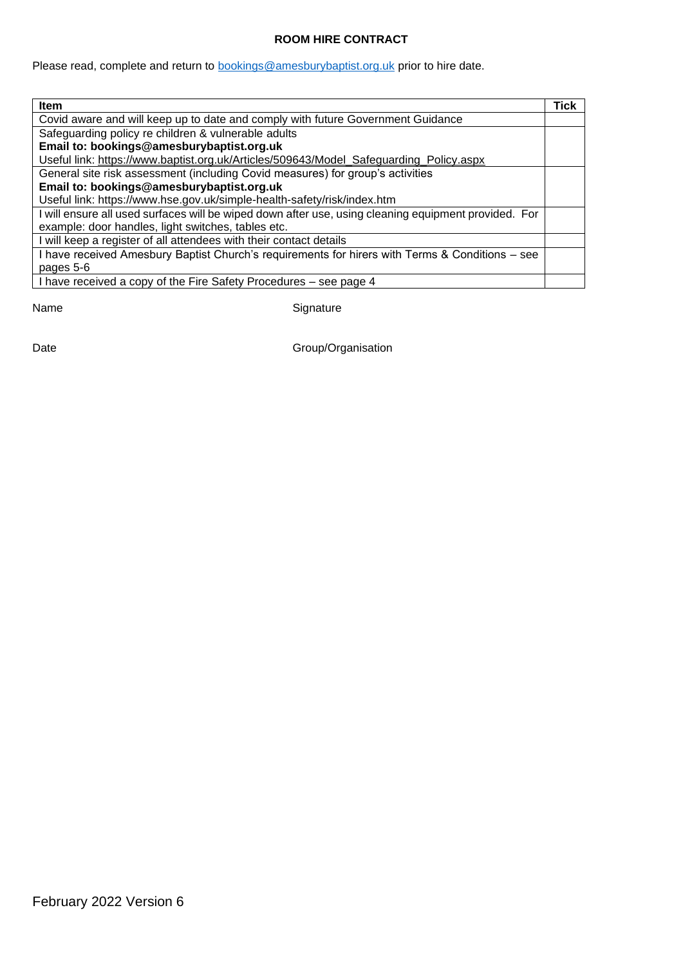#### **ROOM HIRE CONTRACT**

Please read, complete and return to **bookings@amesburybaptist.org.uk** prior to hire date.

| <b>Item</b>                                                                                          | Tick |  |  |  |
|------------------------------------------------------------------------------------------------------|------|--|--|--|
| Covid aware and will keep up to date and comply with future Government Guidance                      |      |  |  |  |
| Safeguarding policy re children & vulnerable adults                                                  |      |  |  |  |
| Email to: bookings@amesburybaptist.org.uk                                                            |      |  |  |  |
| Useful link: https://www.baptist.org.uk/Articles/509643/Model_Safeguarding_Policy.aspx               |      |  |  |  |
| General site risk assessment (including Covid measures) for group's activities                       |      |  |  |  |
| Email to: bookings@amesburybaptist.org.uk                                                            |      |  |  |  |
| Useful link: https://www.hse.gov.uk/simple-health-safety/risk/index.htm                              |      |  |  |  |
| I will ensure all used surfaces will be wiped down after use, using cleaning equipment provided. For |      |  |  |  |
| example: door handles, light switches, tables etc.                                                   |      |  |  |  |
| will keep a register of all attendees with their contact details                                     |      |  |  |  |
| have received Amesbury Baptist Church's requirements for hirers with Terms & Conditions - see        |      |  |  |  |
| pages 5-6                                                                                            |      |  |  |  |
| have received a copy of the Fire Safety Procedures – see page 4                                      |      |  |  |  |

Name Signature

Date Case Contract Contract Contract Contract Contract Contract Contract Contract Contract Contract Contract Contract Contract Contract Contract Contract Contract Contract Contract Contract Contract Contract Contract Contr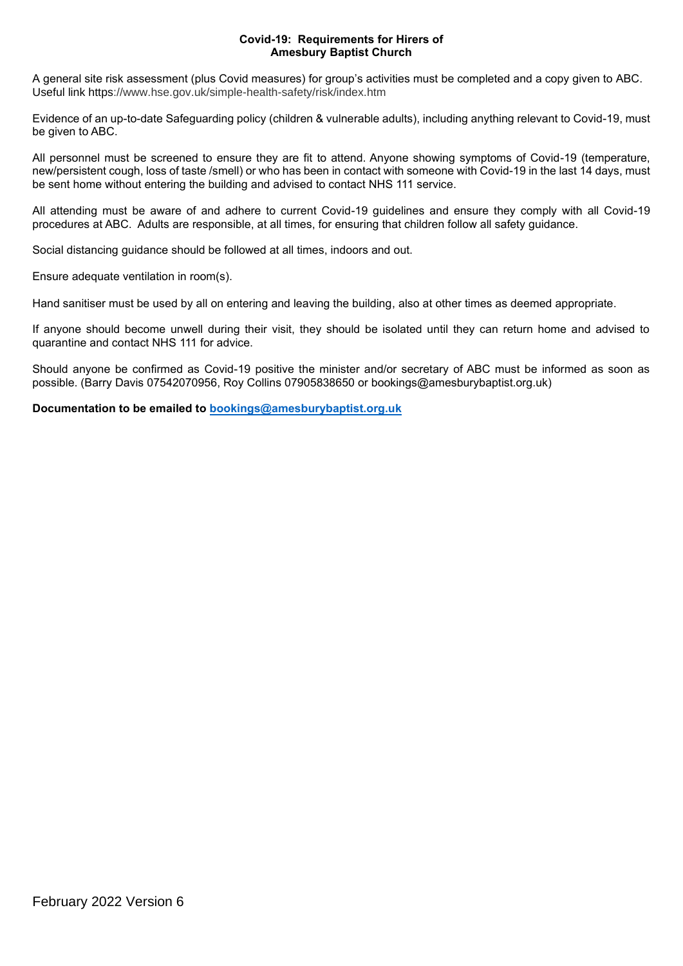#### **Covid-19: Requirements for Hirers of Amesbury Baptist Church**

A general site risk assessment (plus Covid measures) for group's activities must be completed and a copy given to ABC. Useful link https://www.hse.gov.uk/simple-health-safety/risk/index.htm

Evidence of an up-to-date Safeguarding policy (children & vulnerable adults), including anything relevant to Covid-19, must be given to ABC.

All personnel must be screened to ensure they are fit to attend. Anyone showing symptoms of Covid-19 (temperature, new/persistent cough, loss of taste /smell) or who has been in contact with someone with Covid-19 in the last 14 days, must be sent home without entering the building and advised to contact NHS 111 service.

All attending must be aware of and adhere to current Covid-19 guidelines and ensure they comply with all Covid-19 procedures at ABC. Adults are responsible, at all times, for ensuring that children follow all safety guidance.

Social distancing guidance should be followed at all times, indoors and out.

Ensure adequate ventilation in room(s).

Hand sanitiser must be used by all on entering and leaving the building, also at other times as deemed appropriate.

If anyone should become unwell during their visit, they should be isolated until they can return home and advised to quarantine and contact NHS 111 for advice.

Should anyone be confirmed as Covid-19 positive the minister and/or secretary of ABC must be informed as soon as possible. (Barry Davis 07542070956, Roy Collins 07905838650 or bookings@amesburybaptist.org.uk)

**Documentation to be emailed to [bookings@amesburybaptist.org.uk](mailto:bookings@amesburybaptist.org.uk)**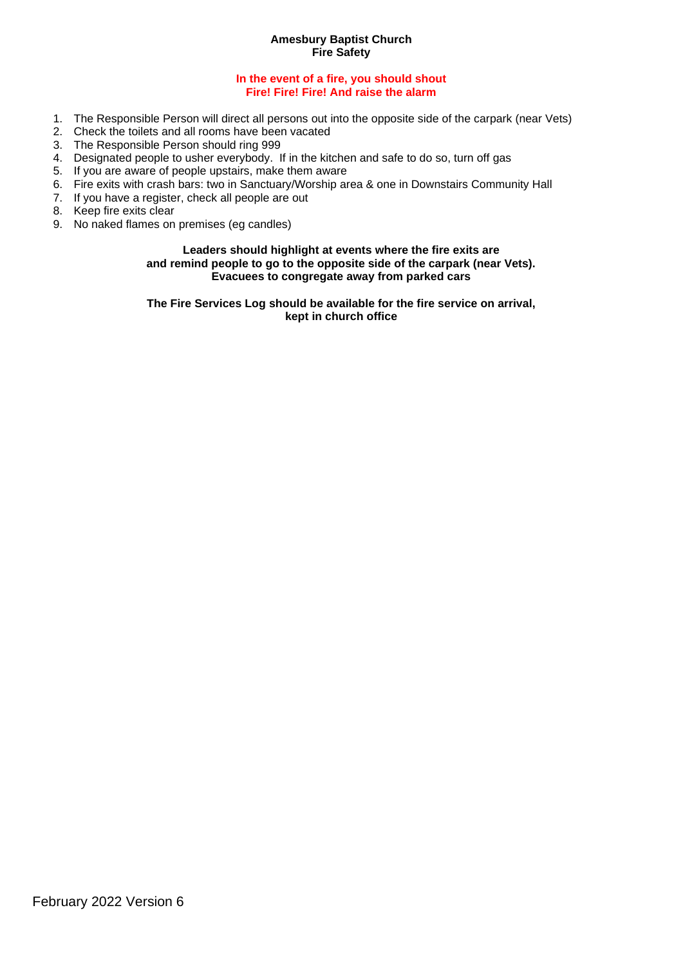#### **Amesbury Baptist Church Fire Safety**

#### **In the event of a fire, you should shout Fire! Fire! Fire! And raise the alarm**

- 1. The Responsible Person will direct all persons out into the opposite side of the carpark (near Vets)
- 2. Check the toilets and all rooms have been vacated
- 3. The Responsible Person should ring 999
- 4. Designated people to usher everybody. If in the kitchen and safe to do so, turn off gas
- 5. If you are aware of people upstairs, make them aware
- 6. Fire exits with crash bars: two in Sanctuary/Worship area & one in Downstairs Community Hall
- 7. If you have a register, check all people are out
- 8. Keep fire exits clear
- 9. No naked flames on premises (eg candles)

#### **Leaders should highlight at events where the fire exits are and remind people to go to the opposite side of the carpark (near Vets). Evacuees to congregate away from parked cars**

**The Fire Services Log should be available for the fire service on arrival, kept in church office**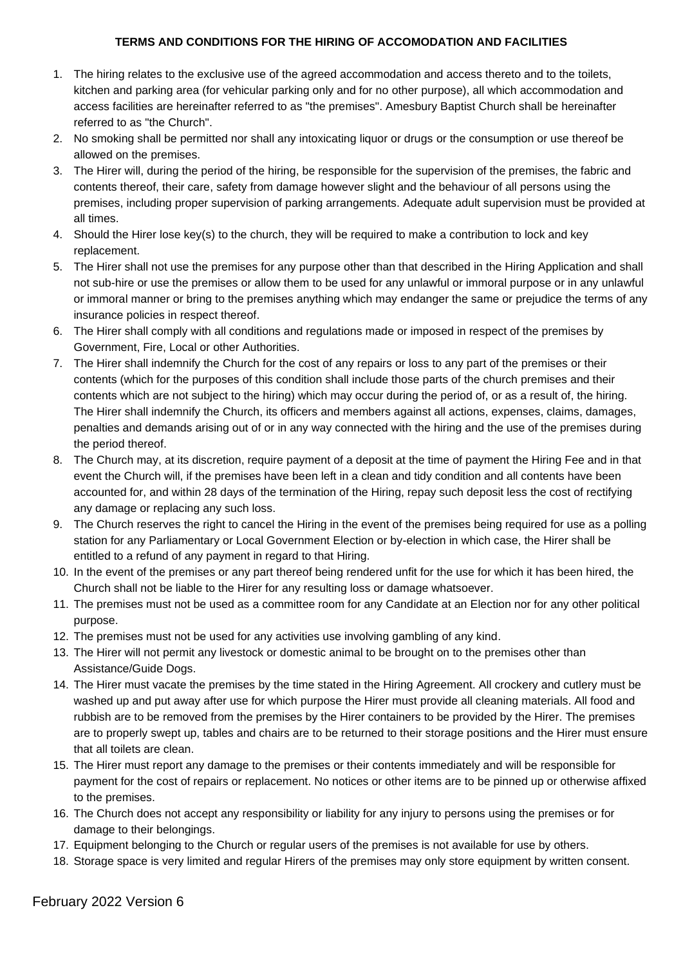## **TERMS AND CONDITIONS FOR THE HIRING OF ACCOMODATION AND FACILITIES**

- 1. The hiring relates to the exclusive use of the agreed accommodation and access thereto and to the toilets, kitchen and parking area (for vehicular parking only and for no other purpose), all which accommodation and access facilities are hereinafter referred to as "the premises". Amesbury Baptist Church shall be hereinafter referred to as "the Church".
- 2. No smoking shall be permitted nor shall any intoxicating liquor or drugs or the consumption or use thereof be allowed on the premises.
- 3. The Hirer will, during the period of the hiring, be responsible for the supervision of the premises, the fabric and contents thereof, their care, safety from damage however slight and the behaviour of all persons using the premises, including proper supervision of parking arrangements. Adequate adult supervision must be provided at all times.
- 4. Should the Hirer lose key(s) to the church, they will be required to make a contribution to lock and key replacement.
- 5. The Hirer shall not use the premises for any purpose other than that described in the Hiring Application and shall not sub-hire or use the premises or allow them to be used for any unlawful or immoral purpose or in any unlawful or immoral manner or bring to the premises anything which may endanger the same or prejudice the terms of any insurance policies in respect thereof.
- 6. The Hirer shall comply with all conditions and regulations made or imposed in respect of the premises by Government, Fire, Local or other Authorities.
- 7. The Hirer shall indemnify the Church for the cost of any repairs or loss to any part of the premises or their contents (which for the purposes of this condition shall include those parts of the church premises and their contents which are not subject to the hiring) which may occur during the period of, or as a result of, the hiring. The Hirer shall indemnify the Church, its officers and members against all actions, expenses, claims, damages, penalties and demands arising out of or in any way connected with the hiring and the use of the premises during the period thereof.
- 8. The Church may, at its discretion, require payment of a deposit at the time of payment the Hiring Fee and in that event the Church will, if the premises have been left in a clean and tidy condition and all contents have been accounted for, and within 28 days of the termination of the Hiring, repay such deposit less the cost of rectifying any damage or replacing any such loss.
- 9. The Church reserves the right to cancel the Hiring in the event of the premises being required for use as a polling station for any Parliamentary or Local Government Election or by-election in which case, the Hirer shall be entitled to a refund of any payment in regard to that Hiring.
- 10. In the event of the premises or any part thereof being rendered unfit for the use for which it has been hired, the Church shall not be liable to the Hirer for any resulting loss or damage whatsoever.
- 11. The premises must not be used as a committee room for any Candidate at an Election nor for any other political purpose.
- 12. The premises must not be used for any activities use involving gambling of any kind.
- 13. The Hirer will not permit any livestock or domestic animal to be brought on to the premises other than Assistance/Guide Dogs.
- 14. The Hirer must vacate the premises by the time stated in the Hiring Agreement. All crockery and cutlery must be washed up and put away after use for which purpose the Hirer must provide all cleaning materials. All food and rubbish are to be removed from the premises by the Hirer containers to be provided by the Hirer. The premises are to properly swept up, tables and chairs are to be returned to their storage positions and the Hirer must ensure that all toilets are clean.
- 15. The Hirer must report any damage to the premises or their contents immediately and will be responsible for payment for the cost of repairs or replacement. No notices or other items are to be pinned up or otherwise affixed to the premises.
- 16. The Church does not accept any responsibility or liability for any injury to persons using the premises or for damage to their belongings.
- 17. Equipment belonging to the Church or regular users of the premises is not available for use by others.
- 18. Storage space is very limited and regular Hirers of the premises may only store equipment by written consent.